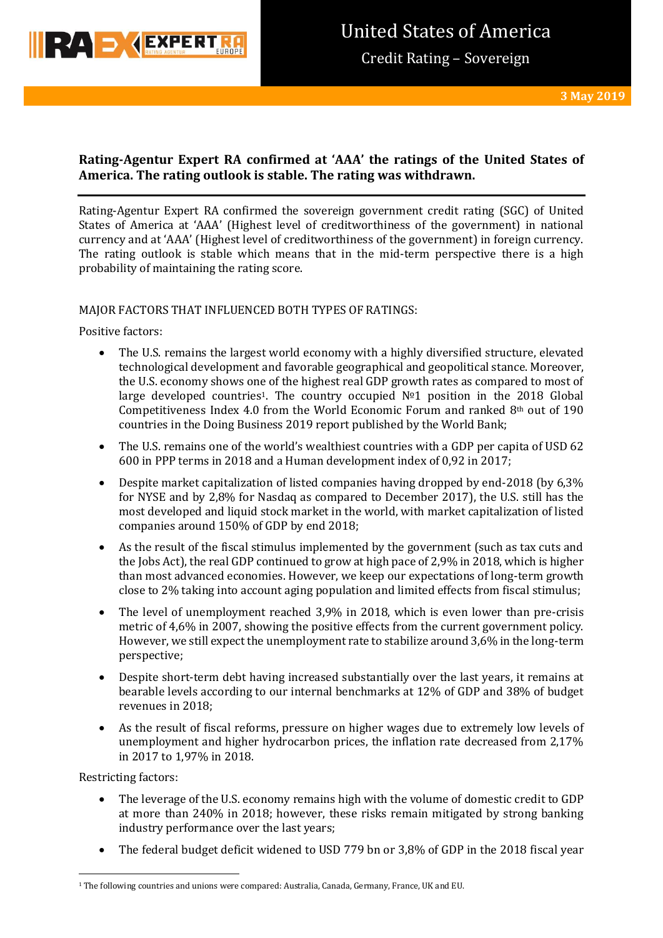

## **Rating-Agentur Expert RA confirmed at 'AAA' the ratings of the United States of America. The rating outlook is stable. The rating was withdrawn.**

Rating-Agentur Expert RA confirmed the sovereign government credit rating (SGC) of United States of America at 'AAA' (Highest level of creditworthiness of the government) in national currency and at 'AAA' (Highest level of creditworthiness of the government) in foreign currency. The rating outlook is stable which means that in the mid-term perspective there is a high probability of maintaining the rating score.

### MAJOR FACTORS THAT INFLUENCED BOTH TYPES OF RATINGS:

Positive factors:

- The U.S. remains the largest world economy with a highly diversified structure, elevated technological development and favorable geographical and geopolitical stance. Moreover, the U.S. economy shows one of the highest real GDP growth rates as compared to most of large developed countries1. The country occupied №1 position in the 2018 Global Competitiveness Index 4.0 from the World Economic Forum and ranked  $8<sup>th</sup>$  out of 190 countries in the Doing Business 2019 report published by the World Bank;
- The U.S. remains one of the world's wealthiest countries with a GDP per capita of USD 62 600 in PPP terms in 2018 and a Human development index of 0,92 in 2017;
- Despite market capitalization of listed companies having dropped by end-2018 (by 6,3% for NYSE and by 2,8% for Nasdaq as compared to December 2017), the U.S. still has the most developed and liquid stock market in the world, with market capitalization of listed companies around 150% of GDP by end 2018;
- As the result of the fiscal stimulus implemented by the government (such as tax cuts and the Jobs Act), the real GDP continued to grow at high pace of 2,9% in 2018, which is higher than most advanced economies. However, we keep our expectations of long-term growth close to 2% taking into account aging population and limited effects from fiscal stimulus;
- The level of unemployment reached 3,9% in 2018, which is even lower than pre-crisis metric of 4,6% in 2007, showing the positive effects from the current government policy. However, we still expect the unemployment rate to stabilize around 3,6% in the long-term perspective;
- Despite short-term debt having increased substantially over the last years, it remains at bearable levels according to our internal benchmarks at 12% of GDP and 38% of budget revenues in 2018;
- As the result of fiscal reforms, pressure on higher wages due to extremely low levels of unemployment and higher hydrocarbon prices, the inflation rate decreased from 2,17% in 2017 to 1,97% in 2018.

Restricting factors:

- The leverage of the U.S. economy remains high with the volume of domestic credit to GDP at more than 240% in 2018; however, these risks remain mitigated by strong banking industry performance over the last years;
- The federal budget deficit widened to USD 779 bn or 3,8% of GDP in the 2018 fiscal year

**<sup>.</sup>** <sup>1</sup> The following countries and unions were compared: Australia, Canada, Germany, France, UK and EU.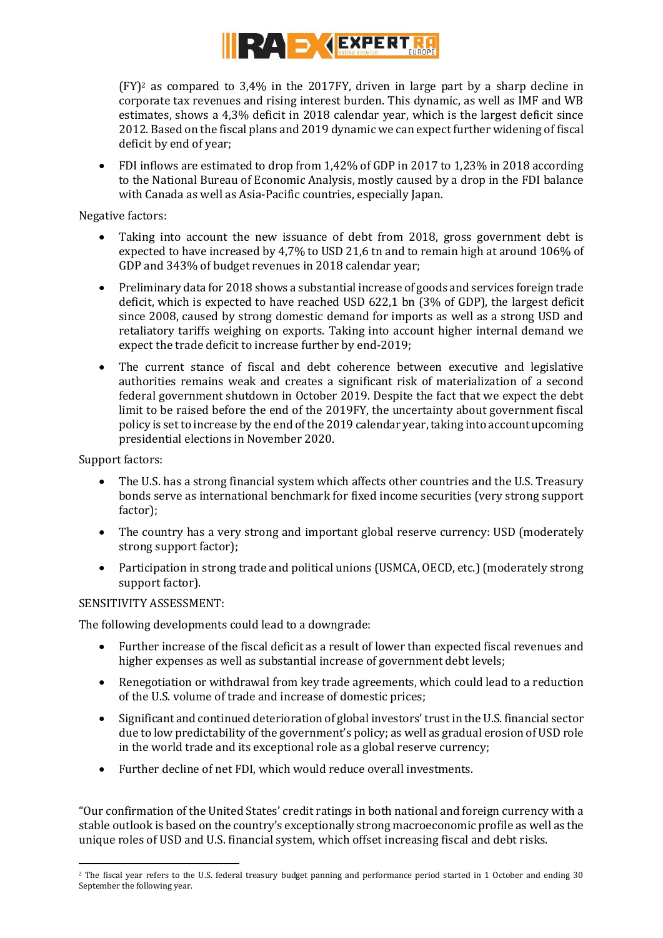

 $(FY)^2$  as compared to 3,4% in the 2017FY, driven in large part by a sharp decline in corporate tax revenues and rising interest burden. This dynamic, as well as IMF and WB estimates, shows a 4,3% deficit in 2018 calendar year, which is the largest deficit since 2012. Based on the fiscal plans and 2019 dynamic we can expect further widening of fiscal deficit by end of year;

 FDI inflows are estimated to drop from 1,42% of GDP in 2017 to 1,23% in 2018 according to the National Bureau of Economic Analysis, mostly caused by a drop in the FDI balance with Canada as well as Asia-Pacific countries, especially Japan.

Negative factors:

- Taking into account the new issuance of debt from 2018, gross government debt is expected to have increased by 4,7% to USD 21,6 tn and to remain high at around 106% of GDP and 343% of budget revenues in 2018 calendar year;
- Preliminary data for 2018 shows a substantial increase of goods and services foreign trade deficit, which is expected to have reached USD 622,1 bn (3% of GDP), the largest deficit since 2008, caused by strong domestic demand for imports as well as a strong USD and retaliatory tariffs weighing on exports. Taking into account higher internal demand we expect the trade deficit to increase further by end-2019;
- The current stance of fiscal and debt coherence between executive and legislative authorities remains weak and creates a significant risk of materialization of a second federal government shutdown in October 2019. Despite the fact that we expect the debt limit to be raised before the end of the 2019FY, the uncertainty about government fiscal policy is set to increase by the end of the 2019 calendar year, taking into account upcoming presidential elections in November 2020.

Support factors:

- The U.S. has a strong financial system which affects other countries and the U.S. Treasury bonds serve as international benchmark for fixed income securities (very strong support factor);
- The country has a very strong and important global reserve currency: USD (moderately strong support factor);
- Participation in strong trade and political unions (USMCA, OECD, etc.) (moderately strong support factor).

### SENSITIVITY ASSESSMENT:

The following developments could lead to a downgrade:

- Further increase of the fiscal deficit as a result of lower than expected fiscal revenues and higher expenses as well as substantial increase of government debt levels;
- Renegotiation or withdrawal from key trade agreements, which could lead to a reduction of the U.S. volume of trade and increase of domestic prices;
- Significant and continued deterioration of global investors' trust in the U.S. financial sector due to low predictability of the government's policy; as well as gradual erosion of USD role in the world trade and its exceptional role as a global reserve currency;
- Further decline of net FDI, which would reduce overall investments.

"Our confirmation of the United States' credit ratings in both national and foreign currency with a stable outlook is based on the country's exceptionally strong macroeconomic profile as well as the unique roles of USD and U.S. financial system, which offset increasing fiscal and debt risks.

**<sup>.</sup>** <sup>2</sup> The fiscal year refers to the U.S. federal treasury budget panning and performance period started in 1 October and ending 30 September the following year.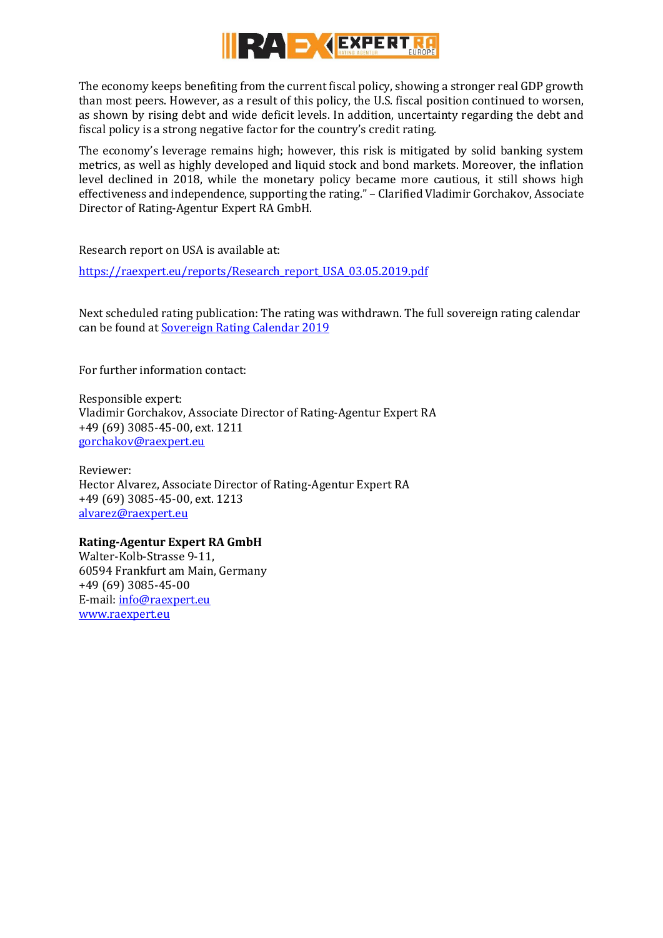

The economy keeps benefiting from the current fiscal policy, showing a stronger real GDP growth than most peers. However, as a result of this policy, the U.S. fiscal position continued to worsen, as shown by rising debt and wide deficit levels. In addition, uncertainty regarding the debt and fiscal policy is a strong negative factor for the country's credit rating.

The economy's leverage remains high; however, this risk is mitigated by solid banking system metrics, as well as highly developed and liquid stock and bond markets. Moreover, the inflation level declined in 2018, while the monetary policy became more cautious, it still shows high effectiveness and independence, supporting the rating." – Clarified Vladimir Gorchakov, Associate Director of Rating-Agentur Expert RA GmbH.

Research report on USA is available at:

[https://raexpert.eu/reports/Research\\_report\\_USA\\_03.05.2019.pdf](https://raexpert.eu/reports/Research_report_USA_03.05.2019.pdf)

Next scheduled rating publication: The rating was withdrawn. The full sovereign rating calendar can be found at [Sovereign Rating Calendar 2019](https://raexpert.eu/sovereign/#conf-tab-5)

For further information contact:

Responsible expert: Vladimir Gorchakov, Associate Director of Rating-Agentur Expert RA +49 (69) 3085-45-00, ext. 1211 [gorchakov@raexpert.eu](mailto:gorchakov@raexpert.eu)

Reviewer: Hector Alvarez, Associate Director of Rating-Agentur Expert RA +49 (69) 3085-45-00, ext. 1213 [alvarez@raexpert.eu](mailto:alvarez@raexpert.eu)

## **Rating-Agentur Expert RA GmbH**

Walter-Kolb-Strasse 9-11, 60594 Frankfurt am Main, Germany +49 (69) 3085-45-00 E-mail[: info@raexpert.eu](mailto:info@raexpert.eu) [www.raexpert.eu](http://raexpert.eu/)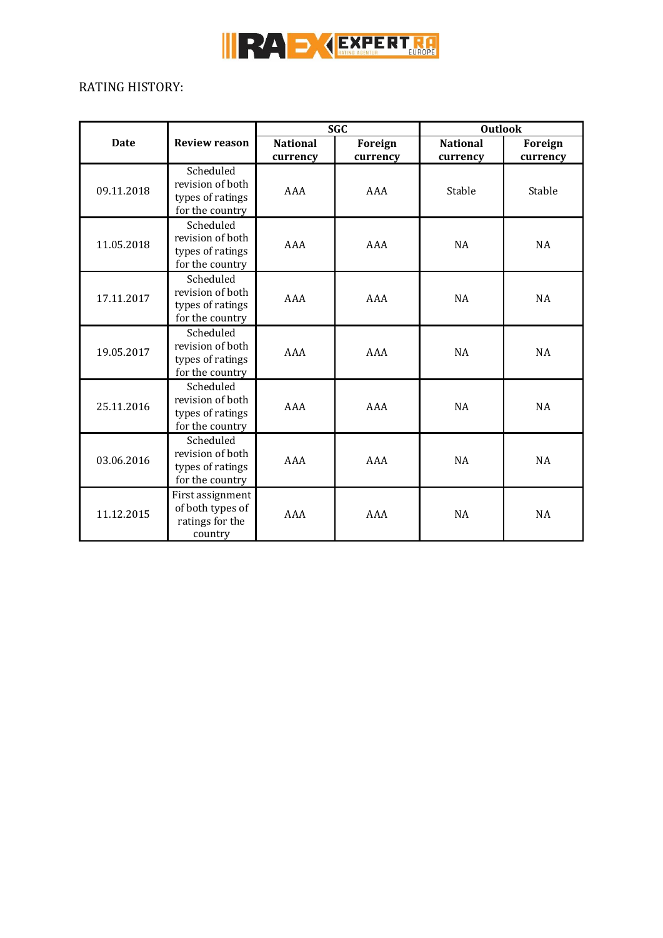

# RATING HISTORY:

|             |                                                                      | <b>SGC</b>      |          | <b>Outlook</b>  |           |
|-------------|----------------------------------------------------------------------|-----------------|----------|-----------------|-----------|
| <b>Date</b> | <b>Review reason</b>                                                 | <b>National</b> | Foreign  | <b>National</b> | Foreign   |
|             |                                                                      | currency        | currency | currency        | currency  |
| 09.11.2018  | Scheduled<br>revision of both<br>types of ratings<br>for the country | AAA             | AAA      | Stable          | Stable    |
| 11.05.2018  | Scheduled<br>revision of both<br>types of ratings<br>for the country | AAA             | AAA      | <b>NA</b>       | <b>NA</b> |
| 17.11.2017  | Scheduled<br>revision of both<br>types of ratings<br>for the country | AAA             | AAA      | <b>NA</b>       | <b>NA</b> |
| 19.05.2017  | Scheduled<br>revision of both<br>types of ratings<br>for the country | AAA             | AAA      | <b>NA</b>       | NA        |
| 25.11.2016  | Scheduled<br>revision of both<br>types of ratings<br>for the country | AAA             | AAA      | <b>NA</b>       | <b>NA</b> |
| 03.06.2016  | Scheduled<br>revision of both<br>types of ratings<br>for the country | AAA             | AAA      | <b>NA</b>       | <b>NA</b> |
| 11.12.2015  | First assignment<br>of both types of<br>ratings for the<br>country   | AAA             | AAA      | <b>NA</b>       | <b>NA</b> |